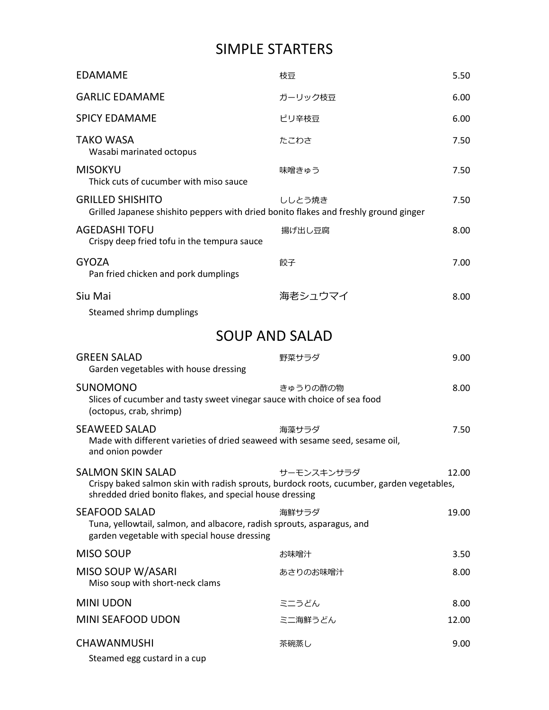## SIMPLE STARTERS

| <b>EDAMAME</b>                                                                                                                                                                    | 枝豆         | 5.50  |
|-----------------------------------------------------------------------------------------------------------------------------------------------------------------------------------|------------|-------|
| <b>GARLIC EDAMAME</b>                                                                                                                                                             | ガーリック枝豆    | 6.00  |
| <b>SPICY EDAMAME</b>                                                                                                                                                              | ピリ辛枝豆      | 6.00  |
| <b>TAKO WASA</b><br>Wasabi marinated octopus                                                                                                                                      | たこわさ       | 7.50  |
| <b>MISOKYU</b><br>Thick cuts of cucumber with miso sauce                                                                                                                          | 味噌きゅう      | 7.50  |
| <b>GRILLED SHISHITO</b><br>Grilled Japanese shishito peppers with dried bonito flakes and freshly ground ginger                                                                   | ししとう焼き     | 7.50  |
| <b>AGEDASHI TOFU</b><br>Crispy deep fried tofu in the tempura sauce                                                                                                               | 揚げ出し豆腐     | 8.00  |
| <b>GYOZA</b><br>Pan fried chicken and pork dumplings                                                                                                                              | 餃子         | 7.00  |
| Siu Mai                                                                                                                                                                           | 海老シュウマイ    | 8.00  |
| Steamed shrimp dumplings                                                                                                                                                          |            |       |
| <b>SOUP AND SALAD</b>                                                                                                                                                             |            |       |
| <b>GREEN SALAD</b><br>Garden vegetables with house dressing                                                                                                                       | 野菜サラダ      | 9.00  |
| <b>SUNOMONO</b><br>Slices of cucumber and tasty sweet vinegar sauce with choice of sea food<br>(octopus, crab, shrimp)                                                            | きゅうりの酢の物   | 8.00  |
| <b>SEAWEED SALAD</b><br>Made with different varieties of dried seaweed with sesame seed, sesame oil,<br>and onion powder                                                          | 海藻サラダ      | 7.50  |
| <b>SALMON SKIN SALAD</b><br>Crispy baked salmon skin with radish sprouts, burdock roots, cucumber, garden vegetables,<br>shredded dried bonito flakes, and special house dressing | サーモンスキンサラダ | 12.00 |
| <b>SEAFOOD SALAD</b><br>Tuna, yellowtail, salmon, and albacore, radish sprouts, asparagus, and<br>garden vegetable with special house dressing                                    | 海鮮サラダ      | 19.00 |
| <b>MISO SOUP</b>                                                                                                                                                                  | お味噌汁       | 3.50  |
| MISO SOUP W/ASARI<br>Miso soup with short-neck clams                                                                                                                              | あさりのお味噌汁   | 8.00  |
| <b>MINI UDON</b>                                                                                                                                                                  | ミニうどん      | 8.00  |
| MINI SEAFOOD UDON                                                                                                                                                                 | ミニ海鮮うどん    | 12.00 |
| CHAWANMUSHI<br>Steamed egg custard in a cup                                                                                                                                       | 茶碗蒸し       | 9.00  |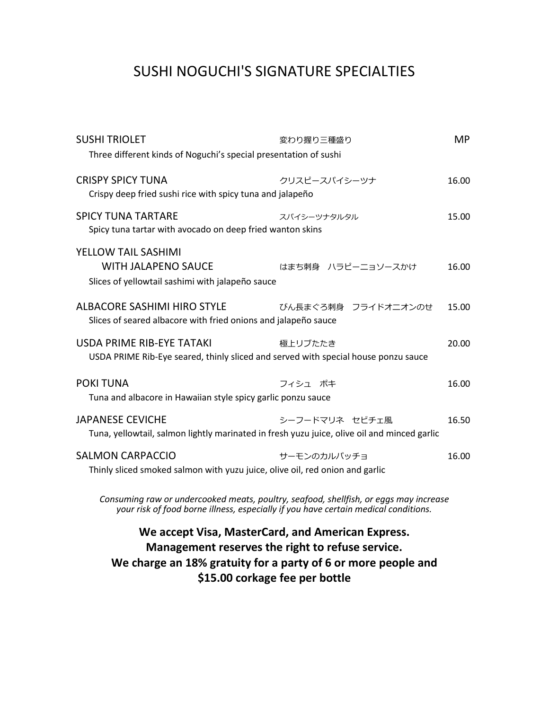## SUSHI NOGUCHI'S SIGNATURE SPECIALTIES

| <b>SUSHI TRIOLET</b>                                                                                                                                                         | <b>MP</b><br>変わり握り三種盛り |       |  |
|------------------------------------------------------------------------------------------------------------------------------------------------------------------------------|------------------------|-------|--|
| Three different kinds of Noguchi's special presentation of sushi                                                                                                             |                        |       |  |
| <b>CRISPY SPICY TUNA</b><br>Crispy deep fried sushi rice with spicy tuna and jalapeño                                                                                        | クリスピースパイシーツナ           | 16.00 |  |
| <b>SPICY TUNA TARTARE</b><br>Spicy tuna tartar with avocado on deep fried wanton skins                                                                                       | スパイシーツナタルタル            | 15.00 |  |
| <b>YELLOW TAIL SASHIMI</b><br><b>WITH JALAPENO SAUCE</b><br>Slices of yellowtail sashimi with jalapeño sauce                                                                 | はまち刺身 ハラピーニョソースかけ      | 16.00 |  |
| <b>ALBACORE SASHIMI HIRO STYLE</b><br>Slices of seared albacore with fried onions and jalapeño sauce                                                                         | びん長まぐろ刺身 フライドオニオンのせ    | 15.00 |  |
| USDA PRIME RIB-EYE TATAKI<br>USDA PRIME Rib-Eye seared, thinly sliced and served with special house ponzu sauce                                                              | 極上リブたたき                | 20.00 |  |
| <b>POKITUNA</b><br>Tuna and albacore in Hawaiian style spicy garlic ponzu sauce                                                                                              | フィシュ ポキ                | 16.00 |  |
| <b>JAPANESE CEVICHE</b><br>Tuna, yellowtail, salmon lightly marinated in fresh yuzu juice, olive oil and minced garlic                                                       | シーフードマリネ セビチェ風         | 16.50 |  |
| SALMON CARPACCIO<br>Thinly sliced smoked salmon with yuzu juice, olive oil, red onion and garlic                                                                             | サーモンのカルパッチョ            | 16.00 |  |
| Consuming raw or undercooked meats, poultry, seafood, shellfish, or eggs may increase<br>your risk of food borne illness, especially if you have certain medical conditions. |                        |       |  |

#### **We accept Visa, MasterCard, and American Express. Management reserves the right to refuse service. We charge an 18% gratuity for a party of 6 or more people and \$15.00 corkage fee per bottle**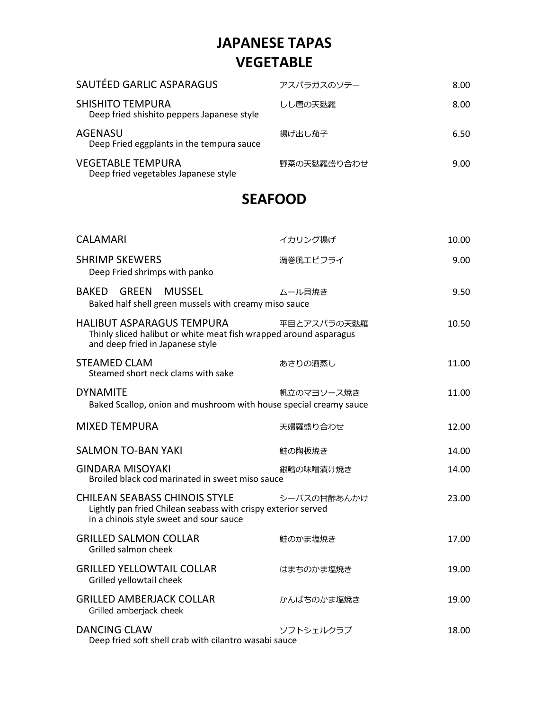# **JAPANESE TAPAS VEGETABLE**

| SAUTÉED GARLIC ASPARAGUS                                         | アスパラガスのソテー  | 8.00 |
|------------------------------------------------------------------|-------------|------|
| SHISHITO TEMPURA<br>Deep fried shishito peppers Japanese style   | しし唐の天麩羅     | 8.00 |
| AGENASU<br>Deep Fried eggplants in the tempura sauce             | 揚げ出し茄子      | 6.50 |
| <b>VEGETABLE TEMPURA</b><br>Deep fried vegetables Japanese style | 野菜の天麩羅盛り合わせ | 9.00 |

#### **SEAFOOD**

| <b>CALAMARI</b>                                                                                                                                  | イカリング揚げ     | 10.00 |
|--------------------------------------------------------------------------------------------------------------------------------------------------|-------------|-------|
| <b>SHRIMP SKEWERS</b><br>Deep Fried shrimps with panko                                                                                           | 渦巻風エビフライ    | 9.00  |
| BAKED GREEN<br><b>MUSSEL</b><br>Baked half shell green mussels with creamy miso sauce                                                            | ムール貝焼き      | 9.50  |
| <b>HALIBUT ASPARAGUS TEMPURA</b><br>Thinly sliced halibut or white meat fish wrapped around asparagus<br>and deep fried in Japanese style        | 平目とアスパラの天麩羅 | 10.50 |
| <b>STEAMED CLAM</b><br>Steamed short neck clams with sake                                                                                        | あさりの酒蒸し     | 11.00 |
| <b>DYNAMITE</b><br>Baked Scallop, onion and mushroom with house special creamy sauce                                                             | 帆立のマヨソース焼き  | 11.00 |
| <b>MIXED TEMPURA</b>                                                                                                                             | 天婦羅盛り合わせ    | 12.00 |
| <b>SALMON TO-BAN YAKI</b>                                                                                                                        | 鮭の陶板焼き      | 14.00 |
| <b>GINDARA MISOYAKI</b><br>Broiled black cod marinated in sweet miso sauce                                                                       | 銀鱈の味噌漬け焼き   | 14.00 |
| <b>CHILEAN SEABASS CHINOIS STYLE</b><br>Lightly pan fried Chilean seabass with crispy exterior served<br>in a chinois style sweet and sour sauce | シーバスの甘酢あんかけ | 23.00 |
| <b>GRILLED SALMON COLLAR</b><br>Grilled salmon cheek                                                                                             | 鮭のかま塩焼き     | 17.00 |
| <b>GRILLED YELLOWTAIL COLLAR</b><br>Grilled yellowtail cheek                                                                                     | はまちのかま塩焼き   | 19.00 |
| <b>GRILLED AMBERJACK COLLAR</b><br>Grilled amberjack cheek                                                                                       | かんぱちのかま塩焼き  | 19.00 |
| <b>DANCING CLAW</b><br>Deep fried soft shell crab with cilantro wasabi sauce                                                                     | ソフトシェルクラブ   | 18.00 |